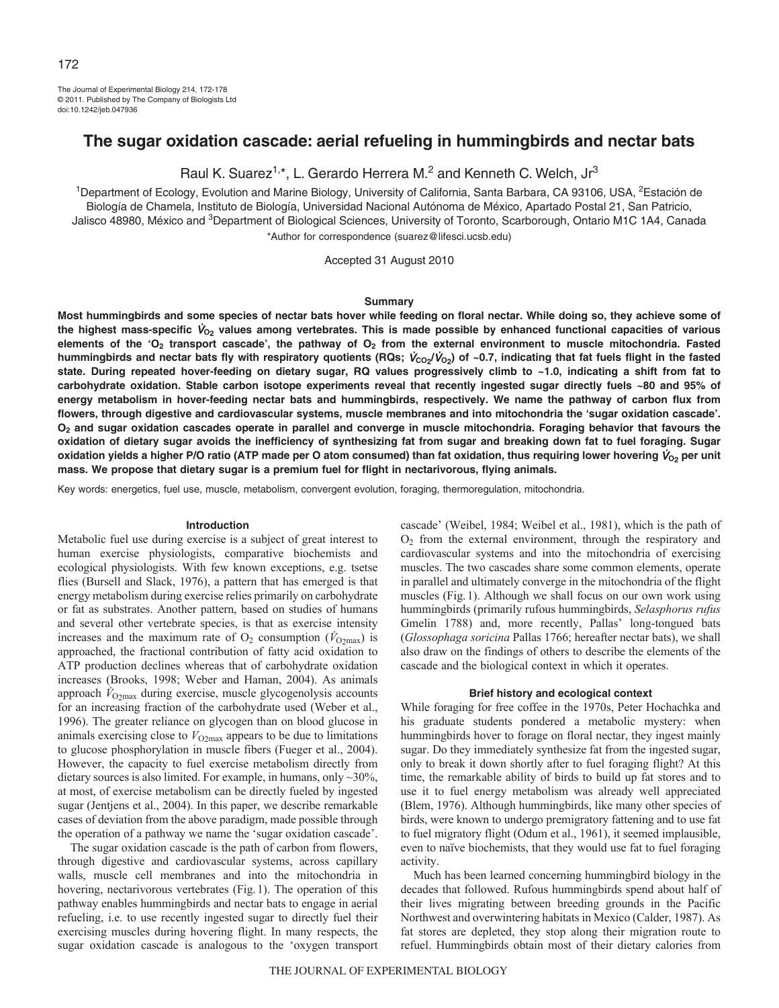The Journal of Experimental Biology 214, 172-178 © 2011. Published by The Company of Biologists Ltd doi:10.1242/jeb.047936

# **The sugar oxidation cascade: aerial refueling in hummingbirds and nectar bats**

Raul K. Suarez<sup>1,\*</sup>, L. Gerardo Herrera M.<sup>2</sup> and Kenneth C. Welch,  $Jr^3$ 

<sup>1</sup>Department of Ecology, Evolution and Marine Biology, University of California, Santa Barbara, CA 93106, USA, <sup>2</sup>Estación de Biología de Chamela, Instituto de Biología, Universidad Nacional Autónoma de México, Apartado Postal 21, San Patricio, Jalisco 48980, México and <sup>3</sup>Department of Biological Sciences, University of Toronto, Scarborough, Ontario M1C 1A4, Canada \*Author for correspondence (suarez@lifesci.ucsb.edu)

Accepted 31 August 2010

### **Summary**

**Most hummingbirds and some species of nectar bats hover while feeding on floral nectar. While doing so, they achieve some of the highest mass-specific** V**O2 values among vertebrates. This is made possible by enhanced functional capacities of various** elements of the 'O<sub>2</sub> transport cascade', the pathway of O<sub>2</sub> from the external environment to muscle mitochondria. Fasted hummingbirds and nectar bats fly with respiratory quotients (RQs;  $V_{CO2}/V_{O2}$ ) of ~0.7, indicating that fat fuels flight in the fasted **state. During repeated hover-feeding on dietary sugar, RQ values progressively climb to ~1.0, indicating a shift from fat to carbohydrate oxidation. Stable carbon isotope experiments reveal that recently ingested sugar directly fuels ~80 and 95% of energy metabolism in hover-feeding nectar bats and hummingbirds, respectively. We name the pathway of carbon flux from flowers, through digestive and cardiovascular systems, muscle membranes and into mitochondria the 'sugar oxidation cascade'. O2 and sugar oxidation cascades operate in parallel and converge in muscle mitochondria. Foraging behavior that favours the oxidation of dietary sugar avoids the inefficiency of synthesizing fat from sugar and breaking down fat to fuel foraging. Sugar oxidation yields a higher P/O ratio (ATP made per O atom consumed) than fat oxidation, thus requiring lower hovering**  $V_{O_2}$  **per unit mass. We propose that dietary sugar is a premium fuel for flight in nectarivorous, flying animals.**

Key words: energetics, fuel use, muscle, metabolism, convergent evolution, foraging, thermoregulation, mitochondria.

#### **Introduction**

Metabolic fuel use during exercise is a subject of great interest to human exercise physiologists, comparative biochemists and ecological physiologists. With few known exceptions, e.g. tsetse flies (Bursell and Slack, 1976), a pattern that has emerged is that energy metabolism during exercise relies primarily on carbohydrate or fat as substrates. Another pattern, based on studies of humans and several other vertebrate species, is that as exercise intensity . increases and the maximum rate of  $O_2$  consumption ( $\dot{V}_{O2\text{max}}$ ) is approached, the fractional contribution of fatty acid oxidation to ATP production declines whereas that of carbohydrate oxidation increases (Brooks, 1998; Weber and Haman, 2004). As animals . approach  $V_{\text{O2max}}$  during exercise, muscle glycogenolysis accounts for an increasing fraction of the carbohydrate used (Weber et al., 1996). The greater reliance on glycogen than on blood glucose in animals exercising close to  $V_{\text{O2max}}$  appears to be due to limitations to glucose phosphorylation in muscle fibers (Fueger et al., 2004). However, the capacity to fuel exercise metabolism directly from dietary sources is also limited. For example, in humans, only ~30%, at most, of exercise metabolism can be directly fueled by ingested sugar (Jentjens et al., 2004). In this paper, we describe remarkable cases of deviation from the above paradigm, made possible through the operation of a pathway we name the 'sugar oxidation cascade'.

The sugar oxidation cascade is the path of carbon from flowers, through digestive and cardiovascular systems, across capillary walls, muscle cell membranes and into the mitochondria in hovering, nectarivorous vertebrates (Fig.1). The operation of this pathway enables hummingbirds and nectar bats to engage in aerial refueling, i.e. to use recently ingested sugar to directly fuel their exercising muscles during hovering flight. In many respects, the sugar oxidation cascade is analogous to the 'oxygen transport

cascade' (Weibel, 1984; Weibel et al., 1981), which is the path of O2 from the external environment, through the respiratory and cardiovascular systems and into the mitochondria of exercising muscles. The two cascades share some common elements, operate in parallel and ultimately converge in the mitochondria of the flight muscles (Fig.1). Although we shall focus on our own work using hummingbirds (primarily rufous hummingbirds, *Selasphorus rufus* Gmelin 1788) and, more recently, Pallas' long-tongued bats (*Glossophaga soricina* Pallas 1766; hereafter nectar bats), we shall also draw on the findings of others to describe the elements of the cascade and the biological context in which it operates.

### **Brief history and ecological context**

While foraging for free coffee in the 1970s, Peter Hochachka and his graduate students pondered a metabolic mystery: when hummingbirds hover to forage on floral nectar, they ingest mainly sugar. Do they immediately synthesize fat from the ingested sugar, only to break it down shortly after to fuel foraging flight? At this time, the remarkable ability of birds to build up fat stores and to use it to fuel energy metabolism was already well appreciated (Blem, 1976). Although hummingbirds, like many other species of birds, were known to undergo premigratory fattening and to use fat to fuel migratory flight (Odum et al., 1961), it seemed implausible, even to naïve biochemists, that they would use fat to fuel foraging activity.

Much has been learned concerning hummingbird biology in the decades that followed. Rufous hummingbirds spend about half of their lives migrating between breeding grounds in the Pacific Northwest and overwintering habitats in Mexico (Calder, 1987). As fat stores are depleted, they stop along their migration route to refuel. Hummingbirds obtain most of their dietary calories from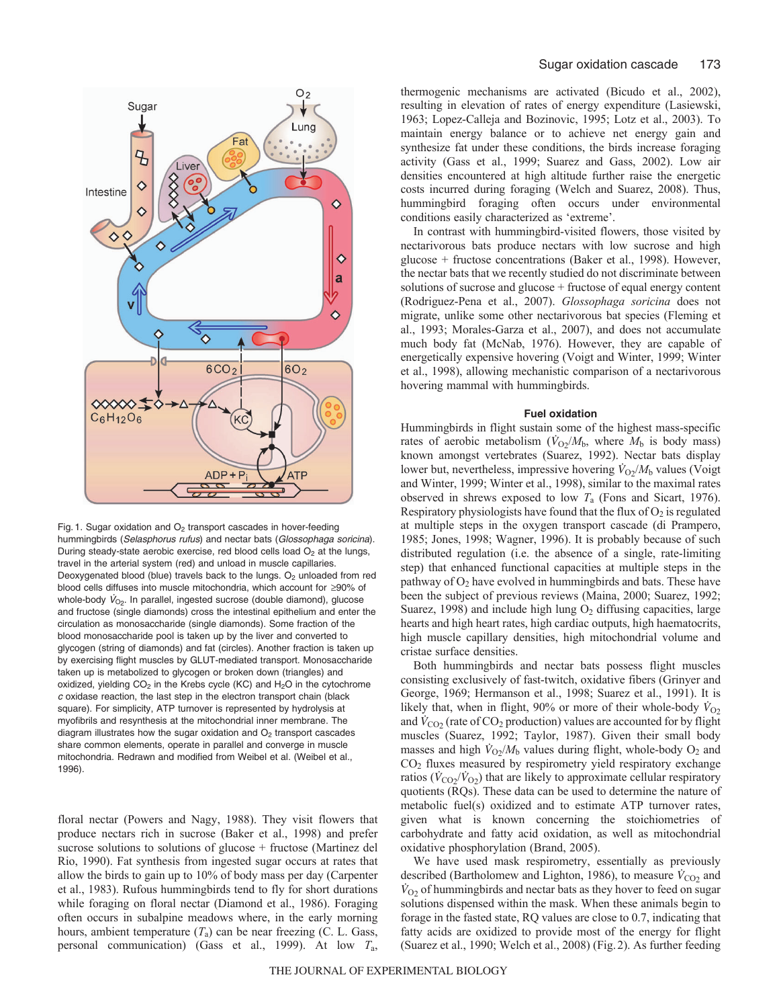

Fig. 1. Sugar oxidation and  $O<sub>2</sub>$  transport cascades in hover-feeding hummingbirds (Selasphorus rufus) and nectar bats (Glossophaga soricina). During steady-state aerobic exercise, red blood cells load  $O<sub>2</sub>$  at the lungs, travel in the arterial system (red) and unload in muscle capillaries. Deoxygenated blood (blue) travels back to the lungs.  $O<sub>2</sub>$  unloaded from red blood cells diffuses into muscle mitochondria, which account for ≥90% of whole-body  $V_{O_2}$ . In parallel, ingested sucrose (double diamond), glucose and fructose (single diamonds) cross the intestinal epithelium and enter the circulation as monosaccharide (single diamonds). Some fraction of the blood monosaccharide pool is taken up by the liver and converted to glycogen (string of diamonds) and fat (circles). Another fraction is taken up by exercising flight muscles by GLUT-mediated transport. Monosaccharide taken up is metabolized to glycogen or broken down (triangles) and oxidized, yielding  $CO<sub>2</sub>$  in the Krebs cycle (KC) and  $H<sub>2</sub>O$  in the cytochrome <sup>c</sup> oxidase reaction, the last step in the electron transport chain (black square). For simplicity, ATP turnover is represented by hydrolysis at myofibrils and resynthesis at the mitochondrial inner membrane. The diagram illustrates how the sugar oxidation and  $O<sub>2</sub>$  transport cascades share common elements, operate in parallel and converge in muscle mitochondria. Redrawn and modified from Weibel et al. (Weibel et al., 1996).

floral nectar (Powers and Nagy, 1988). They visit flowers that produce nectars rich in sucrose (Baker et al., 1998) and prefer sucrose solutions to solutions of glucose + fructose (Martinez del Rio, 1990). Fat synthesis from ingested sugar occurs at rates that allow the birds to gain up to 10% of body mass per day (Carpenter et al., 1983). Rufous hummingbirds tend to fly for short durations while foraging on floral nectar (Diamond et al., 1986). Foraging often occurs in subalpine meadows where, in the early morning hours, ambient temperature  $(T_a)$  can be near freezing (C. L. Gass, personal communication) (Gass et al., 1999). At low *T*a, thermogenic mechanisms are activated (Bicudo et al., 2002), resulting in elevation of rates of energy expenditure (Lasiewski, 1963; Lopez-Calleja and Bozinovic, 1995; Lotz et al., 2003). To maintain energy balance or to achieve net energy gain and synthesize fat under these conditions, the birds increase foraging activity (Gass et al., 1999; Suarez and Gass, 2002). Low air densities encountered at high altitude further raise the energetic costs incurred during foraging (Welch and Suarez, 2008). Thus, hummingbird foraging often occurs under environmental conditions easily characterized as 'extreme'.

In contrast with hummingbird-visited flowers, those visited by nectarivorous bats produce nectars with low sucrose and high glucose + fructose concentrations (Baker et al., 1998). However, the nectar bats that we recently studied do not discriminate between solutions of sucrose and glucose + fructose of equal energy content (Rodriguez-Pena et al., 2007). *Glossophaga soricina* does not migrate, unlike some other nectarivorous bat species (Fleming et al., 1993; Morales-Garza et al., 2007), and does not accumulate much body fat (McNab, 1976). However, they are capable of energetically expensive hovering (Voigt and Winter, 1999; Winter et al., 1998), allowing mechanistic comparison of a nectarivorous hovering mammal with hummingbirds.

#### **Fuel oxidation**

Hummingbirds in flight sustain some of the highest mass-specific rates of aerobic metabolism  $(\dot{V}_{O2}/M_b)$ , where  $M_b$  is body mass) known amongst vertebrates (Suarez, 1992). Nectar bats display lower but, nevertheless, impressive hovering  $\dot{V}_{\text{O}2}/M_{\text{b}}$  values (Voigt and Winter, 1999; Winter et al., 1998), similar to the maximal rates observed in shrews exposed to low *T*<sup>a</sup> (Fons and Sicart, 1976). Respiratory physiologists have found that the flux of  $O_2$  is regulated at multiple steps in the oxygen transport cascade (di Prampero, 1985; Jones, 1998; Wagner, 1996). It is probably because of such distributed regulation (i.e. the absence of a single, rate-limiting step) that enhanced functional capacities at multiple steps in the pathway of  $O_2$  have evolved in hummingbirds and bats. These have been the subject of previous reviews (Maina, 2000; Suarez, 1992; Suarez, 1998) and include high lung  $O<sub>2</sub>$  diffusing capacities, large hearts and high heart rates, high cardiac outputs, high haematocrits, high muscle capillary densities, high mitochondrial volume and cristae surface densities.

Both hummingbirds and nectar bats possess flight muscles consisting exclusively of fast-twitch, oxidative fibers (Grinyer and George, 1969; Hermanson et al., 1998; Suarez et al., 1991). It is likely that, when in flight, 90% or more of their whole-body  $\dot{V}_{O2}$ and  $\dot{V}_{\rm CO2}$  (rate of CO<sub>2</sub> production) values are accounted for by flight muscles (Suarez, 1992; Taylor, 1987). Given their small body masses and high  $\dot{V}_{O_2}/M_b$  values during flight, whole-body  $O_2$  and CO2 fluxes measured by respirometry yield respiratory exchange ratios ( $\hat{V}_{CO2}/\hat{V}_{O2}$ ) that are likely to approximate cellular respiratory quotients (RQs). These data can be used to determine the nature of metabolic fuel(s) oxidized and to estimate ATP turnover rates, given what is known concerning the stoichiometries of carbohydrate and fatty acid oxidation, as well as mitochondrial oxidative phosphorylation (Brand, 2005).

We have used mask respirometry, essentially as previously described (Bartholomew and Lighton, 1986), to measure  $\dot{V}_{\text{CO}_2}$  and  $V_{O2}$  of humming birds and nectar bats as they hover to feed on sugar solutions dispensed within the mask. When these animals begin to forage in the fasted state, RQ values are close to 0.7, indicating that fatty acids are oxidized to provide most of the energy for flight (Suarez et al., 1990; Welch et al., 2008) (Fig.2). As further feeding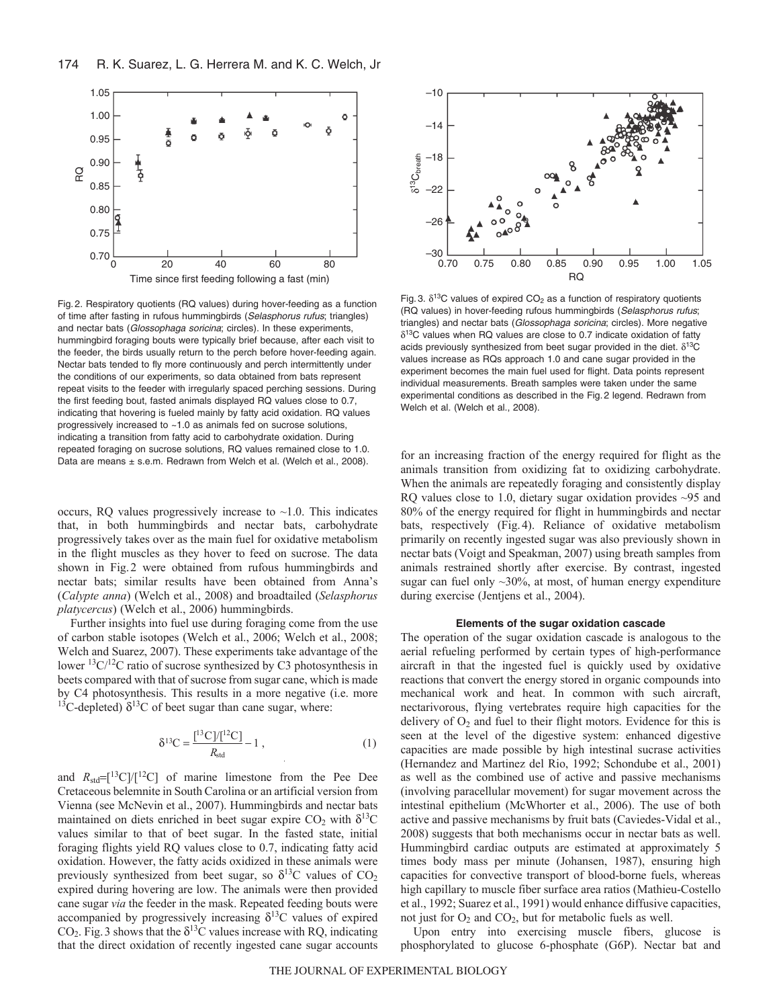

Fig. 2. Respiratory quotients (RQ values) during hover-feeding as a function of time after fasting in rufous hummingbirds (Selasphorus rufus; triangles) and nectar bats (Glossophaga soricina; circles). In these experiments, hummingbird foraging bouts were typically brief because, after each visit to the feeder, the birds usually return to the perch before hover-feeding again. Nectar bats tended to fly more continuously and perch intermittently under the conditions of our experiments, so data obtained from bats represent repeat visits to the feeder with irregularly spaced perching sessions. During the first feeding bout, fasted animals displayed RQ values close to 0.7, indicating that hovering is fueled mainly by fatty acid oxidation. RQ values progressively increased to ~1.0 as animals fed on sucrose solutions, indicating a transition from fatty acid to carbohydrate oxidation. During repeated foraging on sucrose solutions, RQ values remained close to 1.0. Data are means  $\pm$  s.e.m. Redrawn from Welch et al. (Welch et al., 2008).

occurs, RQ values progressively increase to  $~1.0$ . This indicates that, in both hummingbirds and nectar bats, carbohydrate progressively takes over as the main fuel for oxidative metabolism in the flight muscles as they hover to feed on sucrose. The data shown in Fig.2 were obtained from rufous hummingbirds and nectar bats; similar results have been obtained from Anna's (*Calypte anna*) (Welch et al., 2008) and broadtailed (*Selasphorus platycercus*) (Welch et al., 2006) hummingbirds.

Further insights into fuel use during foraging come from the use of carbon stable isotopes (Welch et al., 2006; Welch et al., 2008; Welch and Suarez, 2007). These experiments take advantage of the lower  ${}^{13}C/{}^{12}C$  ratio of sucrose synthesized by C3 photosynthesis in beets compared with that of sucrose from sugar cane, which is made by C4 photosynthesis. This results in a more negative (i.e. more <sup>13</sup>C-depleted)  $\delta^{13}$ C of beet sugar than cane sugar, where:

$$
\delta^{13}C = \frac{[^{13}C]/[^{12}C]}{R_{std}} - 1 , \qquad (1)
$$

and  $R_{std} = [^{13}C]/[^{12}C]$  of marine limestone from the Pee Dee Cretaceous belemnite in South Carolina or an artificial version from Vienna (see McNevin et al., 2007). Hummingbirds and nectar bats maintained on diets enriched in beet sugar expire  $CO<sub>2</sub>$  with  $\delta^{13}C$ values similar to that of beet sugar. In the fasted state, initial foraging flights yield RQ values close to 0.7, indicating fatty acid oxidation. However, the fatty acids oxidized in these animals were previously synthesized from beet sugar, so  $\delta^{13}$ C values of CO<sub>2</sub> expired during hovering are low. The animals were then provided cane sugar *via* the feeder in the mask. Repeated feeding bouts were accompanied by progressively increasing  $\delta^{13}$ C values of expired CO<sub>2</sub>. Fig. 3 shows that the  $\delta^{13}$ C values increase with RQ, indicating that the direct oxidation of recently ingested cane sugar accounts



Fig. 3.  $\delta^{13}$ C values of expired CO<sub>2</sub> as a function of respiratory quotients (RQ values) in hover-feeding rufous hummingbirds (Selasphorus rufus; triangles) and nectar bats (Glossophaga soricina; circles). More negative  $\delta^{13}$ C values when RQ values are close to 0.7 indicate oxidation of fatty acids previously synthesized from beet sugar provided in the diet.  $\delta^{13}C$ values increase as RQs approach 1.0 and cane sugar provided in the experiment becomes the main fuel used for flight. Data points represent individual measurements. Breath samples were taken under the same experimental conditions as described in the Fig.2 legend. Redrawn from Welch et al. (Welch et al., 2008).

for an increasing fraction of the energy required for flight as the animals transition from oxidizing fat to oxidizing carbohydrate. When the animals are repeatedly foraging and consistently display RQ values close to 1.0, dietary sugar oxidation provides ~95 and 80% of the energy required for flight in hummingbirds and nectar bats, respectively (Fig.4). Reliance of oxidative metabolism primarily on recently ingested sugar was also previously shown in nectar bats (Voigt and Speakman, 2007) using breath samples from animals restrained shortly after exercise. By contrast, ingested sugar can fuel only  $\sim$ 30%, at most, of human energy expenditure during exercise (Jentjens et al., 2004).

#### **Elements of the sugar oxidation cascade**

The operation of the sugar oxidation cascade is analogous to the aerial refueling performed by certain types of high-performance aircraft in that the ingested fuel is quickly used by oxidative reactions that convert the energy stored in organic compounds into mechanical work and heat. In common with such aircraft, nectarivorous, flying vertebrates require high capacities for the delivery of  $O_2$  and fuel to their flight motors. Evidence for this is seen at the level of the digestive system: enhanced digestive capacities are made possible by high intestinal sucrase activities (Hernandez and Martinez del Rio, 1992; Schondube et al., 2001) as well as the combined use of active and passive mechanisms (involving paracellular movement) for sugar movement across the intestinal epithelium (McWhorter et al., 2006). The use of both active and passive mechanisms by fruit bats (Caviedes-Vidal et al., 2008) suggests that both mechanisms occur in nectar bats as well. Hummingbird cardiac outputs are estimated at approximately 5 times body mass per minute (Johansen, 1987), ensuring high capacities for convective transport of blood-borne fuels, whereas high capillary to muscle fiber surface area ratios (Mathieu-Costello et al., 1992; Suarez et al., 1991) would enhance diffusive capacities, not just for  $O_2$  and  $CO_2$ , but for metabolic fuels as well.

Upon entry into exercising muscle fibers, glucose is phosphorylated to glucose 6-phosphate (G6P). Nectar bat and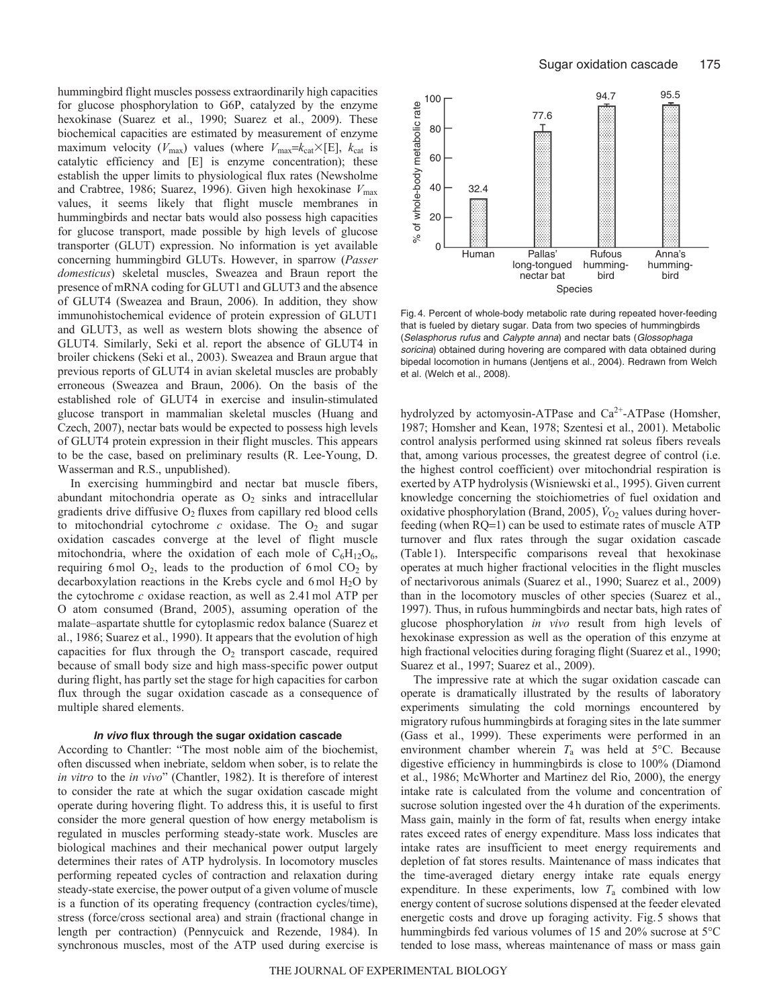hummingbird flight muscles possess extraordinarily high capacities for glucose phosphorylation to G6P, catalyzed by the enzyme hexokinase (Suarez et al., 1990; Suarez et al., 2009). These biochemical capacities are estimated by measurement of enzyme maximum velocity ( $V_{\text{max}}$ ) values (where  $V_{\text{max}} = k_{\text{cat}} \times [E]$ ,  $k_{\text{cat}}$  is catalytic efficiency and [E] is enzyme concentration); these establish the upper limits to physiological flux rates (Newsholme and Crabtree, 1986; Suarez, 1996). Given high hexokinase  $V_{\text{max}}$ values, it seems likely that flight muscle membranes in hummingbirds and nectar bats would also possess high capacities for glucose transport, made possible by high levels of glucose transporter (GLUT) expression. No information is yet available concerning hummingbird GLUTs. However, in sparrow (*Passer domesticus*) skeletal muscles, Sweazea and Braun report the presence of mRNA coding for GLUT1 and GLUT3 and the absence of GLUT4 (Sweazea and Braun, 2006). In addition, they show immunohistochemical evidence of protein expression of GLUT1 and GLUT3, as well as western blots showing the absence of GLUT4. Similarly, Seki et al. report the absence of GLUT4 in broiler chickens (Seki et al., 2003). Sweazea and Braun argue that previous reports of GLUT4 in avian skeletal muscles are probably erroneous (Sweazea and Braun, 2006). On the basis of the established role of GLUT4 in exercise and insulin-stimulated glucose transport in mammalian skeletal muscles (Huang and Czech, 2007), nectar bats would be expected to possess high levels of GLUT4 protein expression in their flight muscles. This appears to be the case, based on preliminary results (R. Lee-Young, D. Wasserman and R.S., unpublished).

In exercising hummingbird and nectar bat muscle fibers, abundant mitochondria operate as  $O<sub>2</sub>$  sinks and intracellular gradients drive diffusive  $O_2$  fluxes from capillary red blood cells to mitochondrial cytochrome  $c$  oxidase. The  $O_2$  and sugar oxidation cascades converge at the level of flight muscle mitochondria, where the oxidation of each mole of  $C_6H_{12}O_6$ , requiring 6 mol  $O_2$ , leads to the production of 6 mol  $CO_2$  by decarboxylation reactions in the Krebs cycle and  $6 \text{ mol H}_2\text{O}$  by the cytochrome *c* oxidase reaction, as well as 2.41mol ATP per O atom consumed (Brand, 2005), assuming operation of the malate–aspartate shuttle for cytoplasmic redox balance (Suarez et al., 1986; Suarez et al., 1990). It appears that the evolution of high capacities for flux through the  $O<sub>2</sub>$  transport cascade, required because of small body size and high mass-specific power output during flight, has partly set the stage for high capacities for carbon flux through the sugar oxidation cascade as a consequence of multiple shared elements.

### **In vivo flux through the sugar oxidation cascade**

According to Chantler: "The most noble aim of the biochemist, often discussed when inebriate, seldom when sober, is to relate the *in vitro* to the *in vivo*" (Chantler, 1982). It is therefore of interest to consider the rate at which the sugar oxidation cascade might operate during hovering flight. To address this, it is useful to first consider the more general question of how energy metabolism is regulated in muscles performing steady-state work. Muscles are biological machines and their mechanical power output largely determines their rates of ATP hydrolysis. In locomotory muscles performing repeated cycles of contraction and relaxation during steady-state exercise, the power output of a given volume of muscle is a function of its operating frequency (contraction cycles/time), stress (force/cross sectional area) and strain (fractional change in length per contraction) (Pennycuick and Rezende, 1984). In synchronous muscles, most of the ATP used during exercise is



Fig. 4. Percent of whole-body metabolic rate during repeated hover-feeding that is fueled by dietary sugar. Data from two species of hummingbirds (Selasphorus rufus and Calypte anna) and nectar bats (Glossophaga soricina) obtained during hovering are compared with data obtained during bipedal locomotion in humans (Jentjens et al., 2004). Redrawn from Welch et al. (Welch et al., 2008).

hydrolyzed by actomyosin-ATPase and  $Ca^{2+}$ -ATPase (Homsher, 1987; Homsher and Kean, 1978; Szentesi et al., 2001). Metabolic control analysis performed using skinned rat soleus fibers reveals that, among various processes, the greatest degree of control (i.e. the highest control coefficient) over mitochondrial respiration is exerted by ATP hydrolysis (Wisniewski et al., 1995). Given current knowledge concerning the stoichiometries of fuel oxidation and oxidative phosphorylation (Brand, 2005),  $\dot{V}_{O2}$  values during hoverfeeding (when  $RQ=1$ ) can be used to estimate rates of muscle ATP turnover and flux rates through the sugar oxidation cascade (Table1). Interspecific comparisons reveal that hexokinase operates at much higher fractional velocities in the flight muscles of nectarivorous animals (Suarez et al., 1990; Suarez et al., 2009) than in the locomotory muscles of other species (Suarez et al., 1997). Thus, in rufous hummingbirds and nectar bats, high rates of glucose phosphorylation *in vivo* result from high levels of hexokinase expression as well as the operation of this enzyme at high fractional velocities during foraging flight (Suarez et al., 1990; Suarez et al., 1997; Suarez et al., 2009).

The impressive rate at which the sugar oxidation cascade can operate is dramatically illustrated by the results of laboratory experiments simulating the cold mornings encountered by migratory rufous hummingbirds at foraging sites in the late summer (Gass et al., 1999). These experiments were performed in an environment chamber wherein *T*<sup>a</sup> was held at 5°C. Because digestive efficiency in hummingbirds is close to 100% (Diamond et al., 1986; McWhorter and Martinez del Rio, 2000), the energy intake rate is calculated from the volume and concentration of sucrose solution ingested over the 4h duration of the experiments. Mass gain, mainly in the form of fat, results when energy intake rates exceed rates of energy expenditure. Mass loss indicates that intake rates are insufficient to meet energy requirements and depletion of fat stores results. Maintenance of mass indicates that the time-averaged dietary energy intake rate equals energy expenditure. In these experiments, low  $T_a$  combined with low energy content of sucrose solutions dispensed at the feeder elevated energetic costs and drove up foraging activity. Fig.5 shows that hummingbirds fed various volumes of 15 and 20% sucrose at 5°C tended to lose mass, whereas maintenance of mass or mass gain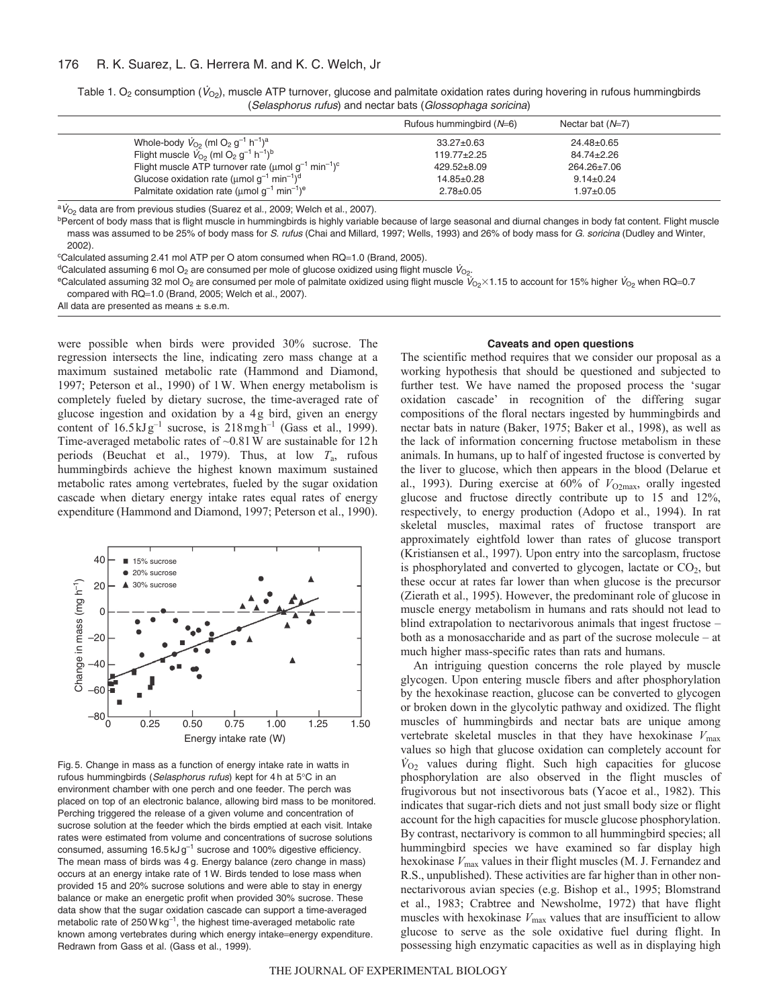#### 176 R. K. Suarez, L. G. Herrera M. and K. C. Welch, Jr

| Table 1. $\mathrm{O}_2$ consumption ( $V_\mathrm{O2}$ ), muscle ATP turnover, glucose and palmitate oxidation rates during hovering in rufous hummingbirds |  |                                                            |  |  |  |
|------------------------------------------------------------------------------------------------------------------------------------------------------------|--|------------------------------------------------------------|--|--|--|
|                                                                                                                                                            |  | (Selasphorus rufus) and nectar bats (Glossophaga soricina) |  |  |  |

|                                                                                              | Rufous hummingbird $(N=6)$ | Nectar bat $(N=7)$ |  |
|----------------------------------------------------------------------------------------------|----------------------------|--------------------|--|
| Whole-body $V_{O_2}$ (ml $O_2$ g <sup>-1</sup> h <sup>-1</sup> ) <sup>a</sup>                | $33.27 \pm 0.63$           | 24.48±0.65         |  |
| Flight muscle $V_{O_2}$ (ml O <sub>2</sub> g <sup>-1</sup> h <sup>-1</sup> ) <sup>b</sup>    | $119.77 \pm 2.25$          | 84.74±2.26         |  |
| Flight muscle ATP turnover rate ( $\mu$ mol g <sup>-1</sup> min <sup>-1</sup> ) <sup>c</sup> | 429.52±8.09                | 264.26±7.06        |  |
| Glucose oxidation rate ( $\mu$ mol g <sup>-1</sup> min <sup>-1</sup> ) <sup>d</sup>          | $14.85 \pm 0.28$           | $9.14 \pm 0.24$    |  |
| Palmitate oxidation rate (umol $q^{-1}$ min <sup>-1</sup> ) <sup>e</sup>                     | $2.78 \pm 0.05$            | 1.97±0.05          |  |

a V<sub>O2</sub> data are from previous studies (Suarez et al., 2009; Welch et al., 2007).<br><sup>b</sup>Percent of body mass that is flight muscle in hummingbirds is highly variable because of large seasonal and diurnal changes in body fat c mass was assumed to be 25% of body mass for S. rufus (Chai and Millard, 1997; Wells, 1993) and 26% of body mass for G. soricina (Dudley and Winter, 2002).

<sup>c</sup>Calculated assuming 2.41 mol ATP per O atom consumed when RQ=1.0 (Brand, 2005).

<sup>d</sup>Calculated assuming 6 mol O<sub>2</sub> are consumed per mole of glucose oxidized using flight muscle  $V_{O2}$ .

<sup>e</sup>Calculated assuming 32 mol O<sub>2</sub> are consumed per mole of palmitate oxidized using flight muscle  $V_{\Omega} \times 1.15$  to account for 15% higher  $V_{\Omega}$  when RQ=0.7 compared with RQ=1.0 (Brand, 2005; Welch et al., 2007).

All data are presented as means  $\pm$  s.e.m.

were possible when birds were provided 30% sucrose. The regression intersects the line, indicating zero mass change at a maximum sustained metabolic rate (Hammond and Diamond, 1997; Peterson et al., 1990) of 1W. When energy metabolism is completely fueled by dietary sucrose, the time-averaged rate of glucose ingestion and oxidation by a 4g bird, given an energy content of  $16.5 \text{ kJg}^{-1}$  sucrose, is  $218 \text{ mgh}^{-1}$  (Gass et al., 1999). Time-averaged metabolic rates of ~0.81W are sustainable for 12h periods (Beuchat et al., 1979). Thus, at low *T*a, rufous hummingbirds achieve the highest known maximum sustained metabolic rates among vertebrates, fueled by the sugar oxidation cascade when dietary energy intake rates equal rates of energy expenditure (Hammond and Diamond, 1997; Peterson et al., 1990).



Fig. 5. Change in mass as a function of energy intake rate in watts in rufous hummingbirds (Selasphorus rufus) kept for 4 h at 5°C in an environment chamber with one perch and one feeder. The perch was placed on top of an electronic balance, allowing bird mass to be monitored. Perching triggered the release of a given volume and concentration of sucrose solution at the feeder which the birds emptied at each visit. Intake rates were estimated from volume and concentrations of sucrose solutions consumed, assuming  $16.5 \text{ kJ g}^{-1}$  sucrose and  $100\%$  digestive efficiency. The mean mass of birds was 4 g. Energy balance (zero change in mass) occurs at an energy intake rate of 1W. Birds tended to lose mass when provided 15 and 20% sucrose solutions and were able to stay in energy balance or make an energetic profit when provided 30% sucrose. These data show that the sugar oxidation cascade can support a time-averaged metabolic rate of  $250 \,\text{W}\,\text{kg}^{-1}$ , the highest time-averaged metabolic rate known among vertebrates during which energy intake=energy expenditure. Redrawn from Gass et al. (Gass et al., 1999).

## **Caveats and open questions**

The scientific method requires that we consider our proposal as a working hypothesis that should be questioned and subjected to further test. We have named the proposed process the 'sugar oxidation cascade' in recognition of the differing sugar compositions of the floral nectars ingested by hummingbirds and nectar bats in nature (Baker, 1975; Baker et al., 1998), as well as the lack of information concerning fructose metabolism in these animals. In humans, up to half of ingested fructose is converted by the liver to glucose, which then appears in the blood (Delarue et al., 1993). During exercise at 60% of  $V_{\text{Oymax}}$ , orally ingested glucose and fructose directly contribute up to 15 and 12%, respectively, to energy production (Adopo et al., 1994). In rat skeletal muscles, maximal rates of fructose transport are approximately eightfold lower than rates of glucose transport (Kristiansen et al., 1997). Upon entry into the sarcoplasm, fructose is phosphorylated and converted to glycogen, lactate or  $CO<sub>2</sub>$ , but these occur at rates far lower than when glucose is the precursor (Zierath et al., 1995). However, the predominant role of glucose in muscle energy metabolism in humans and rats should not lead to blind extrapolation to nectarivorous animals that ingest fructose – both as a monosaccharide and as part of the sucrose molecule – at much higher mass-specific rates than rats and humans.

An intriguing question concerns the role played by muscle glycogen. Upon entering muscle fibers and after phosphorylation by the hexokinase reaction, glucose can be converted to glycogen or broken down in the glycolytic pathway and oxidized. The flight muscles of hummingbirds and nectar bats are unique among vertebrate skeletal muscles in that they have hexokinase  $V_{\text{max}}$ values so high that glucose oxidation can completely account for  $\dot{V}_{O2}$  values during flight. Such high capacities for glucose phosphorylation are also observed in the flight muscles of frugivorous but not insectivorous bats (Yacoe et al., 1982). This indicates that sugar-rich diets and not just small body size or flight account for the high capacities for muscle glucose phosphorylation. By contrast, nectarivory is common to all hummingbird species; all hummingbird species we have examined so far display high hexokinase  $V_{\text{max}}$  values in their flight muscles (M. J. Fernandez and R.S., unpublished). These activities are far higher than in other nonnectarivorous avian species (e.g. Bishop et al., 1995; Blomstrand et al., 1983; Crabtree and Newsholme, 1972) that have flight muscles with hexokinase  $V_{\text{max}}$  values that are insufficient to allow glucose to serve as the sole oxidative fuel during flight. In possessing high enzymatic capacities as well as in displaying high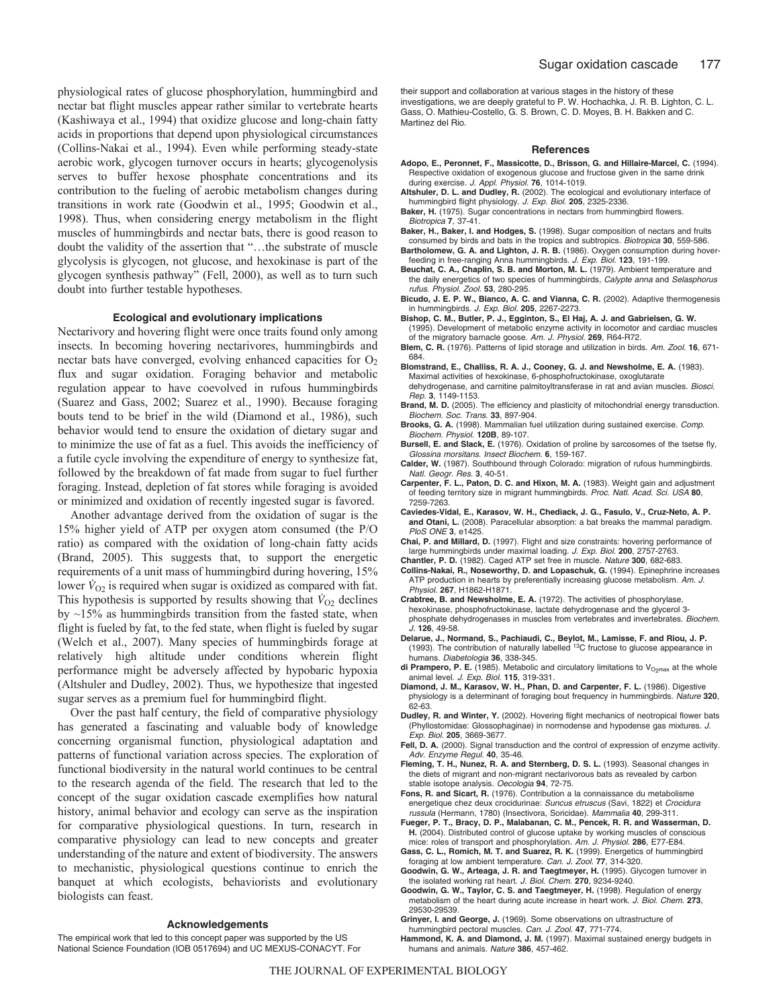physiological rates of glucose phosphorylation, hummingbird and nectar bat flight muscles appear rather similar to vertebrate hearts (Kashiwaya et al., 1994) that oxidize glucose and long-chain fatty acids in proportions that depend upon physiological circumstances (Collins-Nakai et al., 1994). Even while performing steady-state aerobic work, glycogen turnover occurs in hearts; glycogenolysis serves to buffer hexose phosphate concentrations and its contribution to the fueling of aerobic metabolism changes during transitions in work rate (Goodwin et al., 1995; Goodwin et al., 1998). Thus, when considering energy metabolism in the flight muscles of hummingbirds and nectar bats, there is good reason to doubt the validity of the assertion that "…the substrate of muscle glycolysis is glycogen, not glucose, and hexokinase is part of the glycogen synthesis pathway" (Fell, 2000), as well as to turn such doubt into further testable hypotheses.

#### **Ecological and evolutionary implications**

Nectarivory and hovering flight were once traits found only among insects. In becoming hovering nectarivores, hummingbirds and nectar bats have converged, evolving enhanced capacities for  $O<sub>2</sub>$ flux and sugar oxidation. Foraging behavior and metabolic regulation appear to have coevolved in rufous hummingbirds (Suarez and Gass, 2002; Suarez et al., 1990). Because foraging bouts tend to be brief in the wild (Diamond et al., 1986), such behavior would tend to ensure the oxidation of dietary sugar and to minimize the use of fat as a fuel. This avoids the inefficiency of a futile cycle involving the expenditure of energy to synthesize fat, followed by the breakdown of fat made from sugar to fuel further foraging. Instead, depletion of fat stores while foraging is avoided or minimized and oxidation of recently ingested sugar is favored.

Another advantage derived from the oxidation of sugar is the 15% higher yield of ATP per oxygen atom consumed (the P/O ratio) as compared with the oxidation of long-chain fatty acids (Brand, 2005). This suggests that, to support the energetic requirements of a unit mass of hummingbird during hovering, 15% lower  $V_{O2}$  is required when sugar is oxidized as compared with fat. This hypothesis is supported by results showing that  $\dot{V}_{O2}$  declines by  $\sim$ 15% as hummingbirds transition from the fasted state, when flight is fueled by fat, to the fed state, when flight is fueled by sugar (Welch et al., 2007). Many species of hummingbirds forage at relatively high altitude under conditions wherein flight performance might be adversely affected by hypobaric hypoxia (Altshuler and Dudley, 2002). Thus, we hypothesize that ingested sugar serves as a premium fuel for hummingbird flight.

Over the past half century, the field of comparative physiology has generated a fascinating and valuable body of knowledge concerning organismal function, physiological adaptation and patterns of functional variation across species. The exploration of functional biodiversity in the natural world continues to be central to the research agenda of the field. The research that led to the concept of the sugar oxidation cascade exemplifies how natural history, animal behavior and ecology can serve as the inspiration for comparative physiological questions. In turn, research in comparative physiology can lead to new concepts and greater understanding of the nature and extent of biodiversity. The answers to mechanistic, physiological questions continue to enrich the banquet at which ecologists, behaviorists and evolutionary biologists can feast.

#### **Acknowledgements**

The empirical work that led to this concept paper was supported by the US National Science Foundation (IOB 0517694) and UC MEXUS-CONACYT. For their support and collaboration at various stages in the history of these investigations, we are deeply grateful to P. W. Hochachka, J. R. B. Lighton, C. L. Gass, O. Mathieu-Costello, G. S. Brown, C. D. Moyes, B. H. Bakken and C. Martinez del Rio.

#### **References**

- **Adopo, E., Peronnet, F., Massicotte, D., Brisson, G. and Hillaire-Marcel, C.** (1994). Respective oxidation of exogenous glucose and fructose given in the same drink during exercise. J. Appl. Physiol. **76**, 1014-1019.
- **Altshuler, D. L. and Dudley, R.** (2002). The ecological and evolutionary interface of hummingbird flight physiology. J. Exp. Biol. **205**, 2325-2336.
- **Baker, H.** (1975). Sugar concentrations in nectars from hummingbird flowers. Biotropica **7**, 37-41.
- **Baker, H., Baker, I. and Hodges, S.** (1998). Sugar composition of nectars and fruits consumed by birds and bats in the tropics and subtropics. Biotropica **30**, 559-586.
- **Bartholomew, G. A. and Lighton, J. R. B.** (1986). Oxygen consumption during hoverfeeding in free-ranging Anna hummingbirds. J. Exp. Biol. **123**, 191-199.
- **Beuchat, C. A., Chaplin, S. B. and Morton, M. L.** (1979). Ambient temperature and the daily energetics of two species of hummingbirds, Calypte anna and Selasphorus rufus. Physiol. Zool. **53**, 280-295.
- **Bicudo, J. E. P. W., Bianco, A. C. and Vianna, C. R.** (2002). Adaptive thermogenesis in hummingbirds. J. Exp. Biol. **205**, 2267-2273.
- **Bishop, C. M., Butler, P. J., Egginton, S., El Haj, A. J. and Gabrielsen, G. W.** (1995). Development of metabolic enzyme activity in locomotor and cardiac muscles of the migratory barnacle goose. Am. J. Physiol. **269**, R64-R72.
- **Blem, C. R.** (1976). Patterns of lipid storage and utilization in birds. Am. Zool. **16**, 671- 684.
- **Blomstrand, E., Challiss, R. A. J., Cooney, G. J. and Newsholme, E. A.** (1983). Maximal activities of hexokinase, 6-phosphofructokinase, oxoglutarate dehydrogenase, and carnitine palmitoyltransferase in rat and avian muscles. Biosci. Rep. **3**, 1149-1153.
- **Brand, M. D.** (2005). The efficiency and plasticity of mitochondrial energy transduction. Biochem. Soc. Trans. **33**, 897-904.
- **Brooks, G. A.** (1998). Mammalian fuel utilization during sustained exercise. Comp. Biochem. Physiol. **120B**, 89-107.
- **Bursell, E. and Slack, E.** (1976). Oxidation of proline by sarcosomes of the tsetse fly, Glossina morsitans. Insect Biochem. **6**, 159-167.
- **Calder, W.** (1987). Southbound through Colorado: migration of rufous hummingbirds. Natl. Geogr. Res. **3**, 40-51.
- **Carpenter, F. L., Paton, D. C. and Hixon, M. A.** (1983). Weight gain and adjustment of feeding territory size in migrant hummingbirds. Proc. Natl. Acad. Sci. USA **80**, 7259-7263.
- **Caviedes-Vidal, E., Karasov, W. H., Chediack, J. G., Fasulo, V., Cruz-Neto, A. P. and Otani, L.** (2008). Paracellular absorption: a bat breaks the mammal paradigm. PloS ONE **3**, e1425.
- **Chai, P. and Millard, D.** (1997). Flight and size constraints: hovering performance of large hummingbirds under maximal loading. J. Exp. Biol. **200**, 2757-2763.
- **Chantler, P. D.** (1982). Caged ATP set free in muscle. Nature **300**, 682-683.
- **Collins-Nakai, R., Noseworthy, D. and Lopaschuk, G.** (1994). Epinephrine increases ATP production in hearts by preferentially increasing glucose metabolism. Am. J. Physiol. **267**, H1862-H1871.
- **Crabtree, B. and Newsholme, E. A.** (1972). The activities of phosphorylase,
- hexokinase, phosphofructokinase, lactate dehydrogenase and the glycerol 3 phosphate dehydrogenases in muscles from vertebrates and invertebrates. Biochem. J. **126**, 49-58.
- **Delarue, J., Normand, S., Pachiaudi, C., Beylot, M., Lamisse, F. and Riou, J. P.** (1993). The contribution of naturally labelled  ${}^{13}$ C fructose to glucose appearance in humans. Diabetologia **36**, 338-345.
- **di Prampero, P. E.** (1985). Metabolic and circulatory limitations to  $V_{O>max}$  at the whole animal level. J. Exp. Biol. **115**, 319-331.
- **Diamond, J. M., Karasov, W. H., Phan, D. and Carpenter, F. L.** (1986). Digestive physiology is a determinant of foraging bout frequency in hummingbirds. Nature **320**, 62-63.
- **Dudley, R. and Winter, Y.** (2002). Hovering flight mechanics of neotropical flower bats (Phyllostomidae: Glossophaginae) in normodense and hypodense gas mixtures. J. Exp. Biol. **205**, 3669-3677.
- Fell, D. A. (2000). Signal transduction and the control of expression of enzyme activity. Adv. Enzyme Regul. **40**, 35-46.
- **Fleming, T. H., Nunez, R. A. and Sternberg, D. S. L.** (1993). Seasonal changes in the diets of migrant and non-migrant nectarivorous bats as revealed by carbon stable isotope analysis. Oecologia **94**, 72-75.
- **Fons, R. and Sicart, R.** (1976). Contribution a la connaissance du metabolisme energetique chez deux crocidurinae: Suncus etruscus (Savi, 1822) et Crocidura russula (Hermann, 1780) (Insectivora, Soricidae). Mammalia **40**, 299-311.
- **Fueger, P. T., Bracy, D. P., Malabanan, C. M., Pencek, R. R. and Wasserman, D. H.** (2004). Distributed control of glucose uptake by working muscles of conscious mice: roles of transport and phosphorylation. Am. J. Physiol. **286**, E77-E84.
- **Gass, C. L., Romich, M. T. and Suarez, R. K.** (1999). Energetics of hummingbird foraging at low ambient temperature. Can. J. Zool. **77**, 314-320.
- **Goodwin, G. W., Arteaga, J. R. and Taegtmeyer, H.** (1995). Glycogen turnover in the isolated working rat heart. J. Biol. Chem. **270**, 9234-9240.
- **Goodwin, G. W., Taylor, C. S. and Taegtmeyer, H.** (1998). Regulation of energy metabolism of the heart during acute increase in heart work. J. Biol. Chem. **273**, 29530-29539.
- **Grinyer, I. and George, J.** (1969). Some observations on ultrastructure of hummingbird pectoral muscles. Can. J. Zool. **47**, 771-774.
- **Hammond, K. A. and Diamond, J. M.** (1997). Maximal sustained energy budgets in humans and animals. Nature **386**, 457-462.